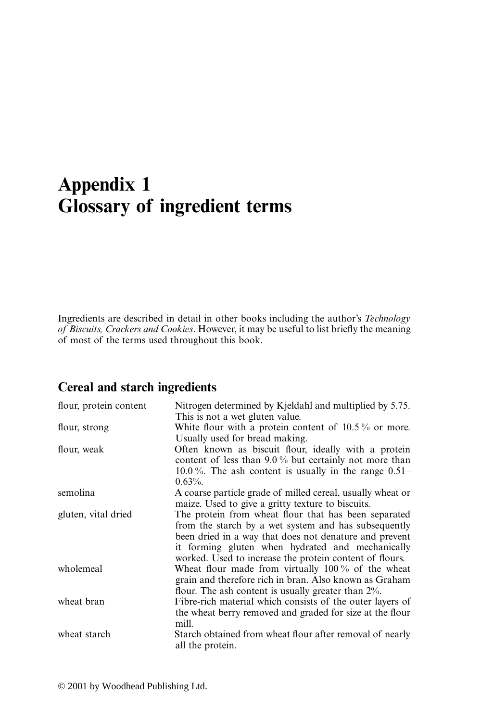# **Appendix 1 Glossary of ingredient terms**

Ingredients are described in detail in other books including the author's *Technology of Biscuits, Crackers and Cookies*. However, it may be useful to list briefly the meaning of most of the terms used throughout this book.

#### **Cereal and starch ingredients**

| flour, protein content | Nitrogen determined by Kjeldahl and multiplied by 5.75.    |
|------------------------|------------------------------------------------------------|
|                        | This is not a wet gluten value.                            |
| flour, strong          | White flour with a protein content of $10.5\%$ or more.    |
|                        | Usually used for bread making.                             |
| flour, weak            | Often known as biscuit flour, ideally with a protein       |
|                        | content of less than $9.0\%$ but certainly not more than   |
|                        | 10.0%. The ash content is usually in the range $0.51-$     |
|                        | $0.63\%$ .                                                 |
| semolina               | A coarse particle grade of milled cereal, usually wheat or |
|                        | maize. Used to give a gritty texture to biscuits.          |
| gluten, vital dried    | The protein from wheat flour that has been separated       |
|                        | from the starch by a wet system and has subsequently       |
|                        | been dried in a way that does not denature and prevent     |
|                        | it forming gluten when hydrated and mechanically           |
|                        | worked. Used to increase the protein content of flours.    |
| wholemeal              | Wheat flour made from virtually $100\%$ of the wheat       |
|                        | grain and therefore rich in bran. Also known as Graham     |
|                        | flour. The ash content is usually greater than $2\%$ .     |
| wheat bran             | Fibre-rich material which consists of the outer layers of  |
|                        | the wheat berry removed and graded for size at the flour   |
|                        | mill.                                                      |
|                        |                                                            |
| wheat starch           | Starch obtained from wheat flour after removal of nearly   |
|                        | all the protein.                                           |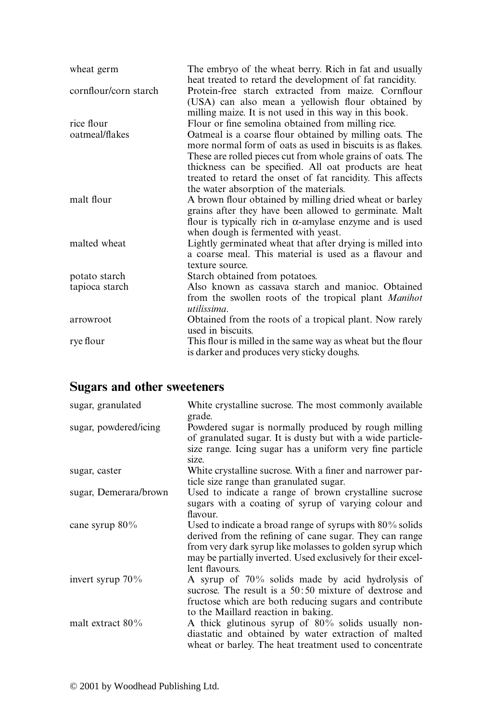| wheat germ            | The embryo of the wheat berry. Rich in fat and usually<br>heat treated to retard the development of fat rancidity.                                                                  |
|-----------------------|-------------------------------------------------------------------------------------------------------------------------------------------------------------------------------------|
| cornflour/corn starch | Protein-free starch extracted from maize. Cornflour<br>(USA) can also mean a yellowish flour obtained by<br>milling maize. It is not used in this way in this book.                 |
| rice flour            | Flour or fine semolina obtained from milling rice.                                                                                                                                  |
| oatmeal/flakes        | Oatmeal is a coarse flour obtained by milling oats. The<br>more normal form of oats as used in biscuits is as flakes.<br>These are rolled pieces cut from whole grains of oats. The |
|                       | thickness can be specified. All oat products are heat<br>treated to retard the onset of fat rancidity. This affects                                                                 |
|                       | the water absorption of the materials.                                                                                                                                              |
| malt flour            | A brown flour obtained by milling dried wheat or barley                                                                                                                             |
|                       | grains after they have been allowed to germinate. Malt                                                                                                                              |
|                       | flour is typically rich in $\alpha$ -amylase enzyme and is used<br>when dough is fermented with yeast.                                                                              |
| malted wheat          | Lightly germinated wheat that after drying is milled into<br>a coarse meal. This material is used as a flavour and                                                                  |
|                       | texture source.                                                                                                                                                                     |
| potato starch         | Starch obtained from potatoes.                                                                                                                                                      |
| tapioca starch        | Also known as cassava starch and manioc. Obtained                                                                                                                                   |
|                       | from the swollen roots of the tropical plant <i>Manihot</i><br>utilissima.                                                                                                          |
| arrowroot             | Obtained from the roots of a tropical plant. Now rarely<br>used in biscuits.                                                                                                        |
| rye flour             | This flour is milled in the same way as wheat but the flour<br>is darker and produces very sticky doughs.                                                                           |

## **Sugars and other sweeteners**

| sugar, granulated     | White crystalline sucrose. The most commonly available<br>grade.                                                                                                                                                                                                     |
|-----------------------|----------------------------------------------------------------------------------------------------------------------------------------------------------------------------------------------------------------------------------------------------------------------|
| sugar, powdered/icing | Powdered sugar is normally produced by rough milling<br>of granulated sugar. It is dusty but with a wide particle-<br>size range. Icing sugar has a uniform very fine particle<br>size.                                                                              |
| sugar, caster         | White crystalline sucrose. With a finer and narrower par-<br>ticle size range than granulated sugar.                                                                                                                                                                 |
| sugar, Demerara/brown | Used to indicate a range of brown crystalline sucrose<br>sugars with a coating of syrup of varying colour and<br>flavour.                                                                                                                                            |
| cane syrup $80\%$     | Used to indicate a broad range of syrups with $80\%$ solids<br>derived from the refining of cane sugar. They can range<br>from very dark syrup like molasses to golden syrup which<br>may be partially inverted. Used exclusively for their excel-<br>lent flavours. |
| invert syrup $70\%$   | A syrup of $70\%$ solids made by acid hydrolysis of<br>sucrose. The result is a $50:50$ mixture of dextrose and<br>fructose which are both reducing sugars and contribute<br>to the Maillard reaction in baking.                                                     |
| malt extract $80\%$   | A thick glutinous syrup of $80\%$ solids usually non-<br>diastatic and obtained by water extraction of malted<br>wheat or barley. The heat treatment used to concentrate                                                                                             |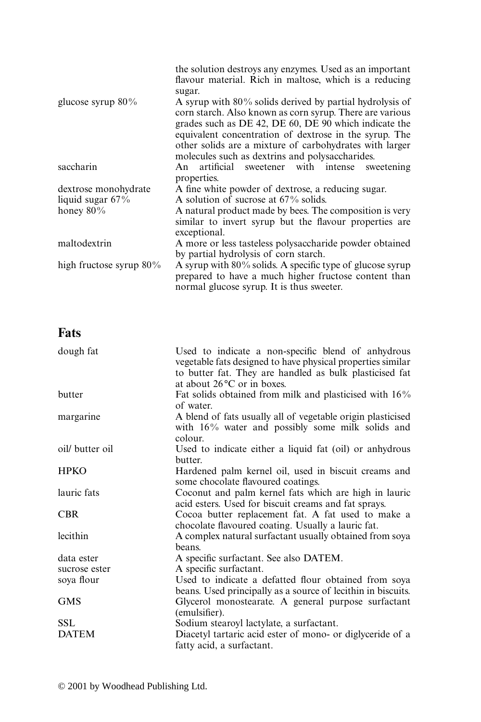|                            | the solution destroys any enzymes. Used as an important<br>flavour material. Rich in maltose, which is a reducing                                                                                                                                                                                                                                        |
|----------------------------|----------------------------------------------------------------------------------------------------------------------------------------------------------------------------------------------------------------------------------------------------------------------------------------------------------------------------------------------------------|
|                            | sugar.                                                                                                                                                                                                                                                                                                                                                   |
| glucose syrup $80\%$       | A syrup with $80\%$ solids derived by partial hydrolysis of<br>corn starch. Also known as corn syrup. There are various<br>grades such as DE 42, DE 60, DE 90 which indicate the<br>equivalent concentration of dextrose in the syrup. The<br>other solids are a mixture of carbohydrates with larger<br>molecules such as dextrins and polysaccharides. |
| saccharin                  | An artificial sweetener with intense sweetening<br>properties.                                                                                                                                                                                                                                                                                           |
| dextrose monohydrate       | A fine white powder of dextrose, a reducing sugar.                                                                                                                                                                                                                                                                                                       |
| liquid sugar $67\%$        | A solution of sucrose at $67\%$ solids.                                                                                                                                                                                                                                                                                                                  |
| honey $80\%$               | A natural product made by bees. The composition is very                                                                                                                                                                                                                                                                                                  |
|                            | similar to invert syrup but the flavour properties are<br>exceptional.                                                                                                                                                                                                                                                                                   |
| maltodextrin               | A more or less tasteless polysaccharide powder obtained                                                                                                                                                                                                                                                                                                  |
|                            | by partial hydrolysis of corn starch.                                                                                                                                                                                                                                                                                                                    |
| high fructose syrup $80\%$ | A syrup with $80\%$ solids. A specific type of glucose syrup                                                                                                                                                                                                                                                                                             |
|                            | prepared to have a much higher fructose content than<br>normal glucose syrup. It is thus sweeter.                                                                                                                                                                                                                                                        |

#### **Fats**

| dough fat       | Used to indicate a non-specific blend of anhydrous<br>vegetable fats designed to have physical properties similar<br>to butter fat. They are handled as bulk plasticised fat<br>at about $26^{\circ}$ C or in boxes. |
|-----------------|----------------------------------------------------------------------------------------------------------------------------------------------------------------------------------------------------------------------|
| butter          | Fat solids obtained from milk and plasticised with 16%<br>of water.                                                                                                                                                  |
| margarine       | A blend of fats usually all of vegetable origin plasticised<br>with $16\%$ water and possibly some milk solids and<br>colour.                                                                                        |
| oil/ butter oil | Used to indicate either a liquid fat (oil) or anhydrous<br>butter.                                                                                                                                                   |
| <b>HPKO</b>     | Hardened palm kernel oil, used in biscuit creams and<br>some chocolate flavoured coatings.                                                                                                                           |
| lauric fats     | Coconut and palm kernel fats which are high in lauric<br>acid esters. Used for biscuit creams and fat sprays.                                                                                                        |
| <b>CBR</b>      | Cocoa butter replacement fat. A fat used to make a<br>chocolate flavoured coating. Usually a lauric fat.                                                                                                             |
| lecithin        | A complex natural surfactant usually obtained from soya<br>beans.                                                                                                                                                    |
| data ester      | A specific surfactant. See also DATEM.                                                                                                                                                                               |
| sucrose ester   | A specific surfactant.                                                                                                                                                                                               |
| soya flour      | Used to indicate a defatted flour obtained from soya<br>beans. Used principally as a source of lecithin in biscuits.                                                                                                 |
| <b>GMS</b>      | Glycerol monostearate. A general purpose surfactant<br>(emulsifier).                                                                                                                                                 |
| <b>SSL</b>      | Sodium stearoyl lactylate, a surfactant.                                                                                                                                                                             |
| <b>DATEM</b>    | Diacetyl tartaric acid ester of mono- or diglyceride of a<br>fatty acid, a surfactant.                                                                                                                               |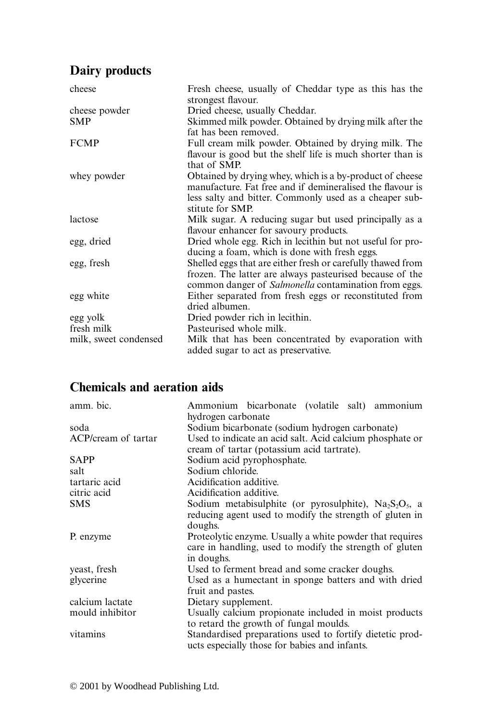### **Dairy products**

| cheese                | Fresh cheese, usually of Cheddar type as this has the<br>strongest flavour. |
|-----------------------|-----------------------------------------------------------------------------|
| cheese powder         | Dried cheese, usually Cheddar.                                              |
| <b>SMP</b>            | Skimmed milk powder. Obtained by drying milk after the                      |
|                       | fat has been removed.                                                       |
| <b>FCMP</b>           | Full cream milk powder. Obtained by drying milk. The                        |
|                       | flavour is good but the shelf life is much shorter than is<br>that of SMP.  |
| whey powder           | Obtained by drying whey, which is a by-product of cheese                    |
|                       | manufacture. Fat free and if demineralised the flavour is                   |
|                       | less salty and bitter. Commonly used as a cheaper sub-                      |
|                       | stitute for SMP.                                                            |
| lactose               | Milk sugar. A reducing sugar but used principally as a                      |
|                       | flavour enhancer for savoury products.                                      |
| egg, dried            | Dried whole egg. Rich in lecithin but not useful for pro-                   |
|                       | ducing a foam, which is done with fresh eggs.                               |
| egg, fresh            | Shelled eggs that are either fresh or carefully thawed from                 |
|                       | frozen. The latter are always pasteurised because of the                    |
|                       | common danger of <i>Salmonella</i> contamination from eggs.                 |
| egg white             | Either separated from fresh eggs or reconstituted from                      |
|                       | dried albumen.                                                              |
| egg yolk              | Dried powder rich in lecithin.                                              |
| fresh milk            | Pasteurised whole milk.                                                     |
| milk, sweet condensed | Milk that has been concentrated by evaporation with                         |
|                       | added sugar to act as preservative.                                         |

#### **Chemicals and aeration aids**

| amm. bic.           | Ammonium bicarbonate (volatile salt) ammonium<br>hydrogen carbonate                                                               |
|---------------------|-----------------------------------------------------------------------------------------------------------------------------------|
| soda                | Sodium bicarbonate (sodium hydrogen carbonate)                                                                                    |
| ACP/cream of tartar | Used to indicate an acid salt. Acid calcium phosphate or<br>cream of tartar (potassium acid tartrate).                            |
| <b>SAPP</b>         | Sodium acid pyrophosphate.                                                                                                        |
| salt                | Sodium chloride.                                                                                                                  |
| tartaric acid       | Acidification additive.                                                                                                           |
| citric acid         | Acidification additive.                                                                                                           |
| <b>SMS</b>          | Sodium metabisulphite (or pyrosulphite), $Na2S2O5$ , a<br>reducing agent used to modify the strength of gluten in<br>doughs.      |
| P. enzyme           | Proteolytic enzyme. Usually a white powder that requires<br>care in handling, used to modify the strength of gluten<br>in doughs. |
| yeast, fresh        | Used to ferment bread and some cracker doughs.                                                                                    |
| glycerine           | Used as a humectant in sponge batters and with dried<br>fruit and pastes.                                                         |
| calcium lactate     | Dietary supplement.                                                                                                               |
| mould inhibitor     | Usually calcium propionate included in moist products<br>to retard the growth of fungal moulds.                                   |
| vitamins            | Standardised preparations used to fortify dietetic prod-<br>ucts especially those for babies and infants.                         |